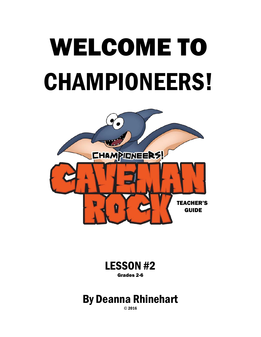# WELCOME TO CHAMPIONEERS!



LESSON #2 Grades 2-6

## By Deanna Rhinehart

© 2016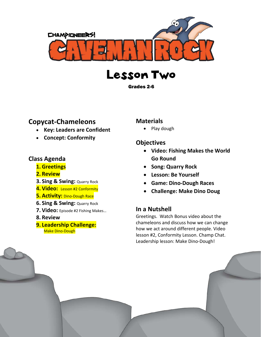





#### **Copycat-Chameleons**

- **Key: Leaders are Confident**
- **Concept: Conformity**

#### **Class Agenda**

- **1. Greetings**
- **2. Review**
- **3. Sing & Swing:** Quarry Rock
- **4. Video:** Lesson #2 Conformity
- **5. Activity:** Dino-Dough Race
- **6. Sing & Swing:** Quarry Rock
- **7. Video:** Episode #2 Fishing Makes…
- **8. Review**
- **9. Leadership Challenge:** Make Dino-Dough

#### **Materials**

• Play dough

#### **Objectives**

- **Video: Fishing Makes the World Go Round**
- **Song: Quarry Rock**
- **Lesson: Be Yourself**
- **Game: Dino-Dough Races**
- **Challenge: Make Dino Doug**

#### **In a Nutshell**

Greetings. Watch Bonus video about the chameleons and discuss how we can change how we act around different people. Video lesson #2, Conformity Lesson. Champ Chat. Leadership lesson: Make Dino-Dough!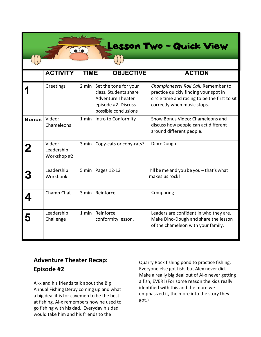## esson Two - Quick View

|              | <b>ACTIVITY</b>                     | <b>TIME</b>     | <b>OBJECTIVE</b>                                                                                                          | <b>ACTION</b>                                                                                                                                                 |
|--------------|-------------------------------------|-----------------|---------------------------------------------------------------------------------------------------------------------------|---------------------------------------------------------------------------------------------------------------------------------------------------------------|
|              | Greetings                           | $2 \text{ min}$ | Set the tone for your<br>class. Students share<br><b>Adventure Theater</b><br>episode #2. Discuss<br>possible conclusions | Championeers! Roll Call. Remember to<br>practice quickly finding your spot in<br>circle time and racing to be the first to sit<br>correctly when music stops. |
| <b>Bonus</b> | Video:<br>Chameleons                | 1 min           | Intro to Conformity                                                                                                       | Show Bonus Video: Chameleons and<br>discuss how people can act different<br>around different people.                                                          |
|              | Video:<br>Leadership<br>Workshop #2 | 3 min           | Copy-cats or copy-rats?                                                                                                   | Dino-Dough                                                                                                                                                    |
|              | Leadership<br>Workbook              | 5 min           | Pages 12-13                                                                                                               | I'll be me and you be you - that's what<br>makes us rock!                                                                                                     |
|              | Champ Chat                          | 3 min           | Reinforce                                                                                                                 | Comparing                                                                                                                                                     |
|              | Leadership<br>Challenge             | 1 min           | Reinforce<br>conformity lesson.                                                                                           | Leaders are confident in who they are.<br>Make Dino-Dough and share the lesson<br>of the chameleon with your family.                                          |

#### **Adventure Theater Recap: Episode #2**

**p** 

Al-x and his friends talk about the Big Annual Fishing Derby coming up and what a big deal it is for cavemen to be the best at fishing. Al-x remembers how he used to go fishing with his dad. Everyday his dad would take him and his friends to the

Quarry Rock fishing pond to practice fishing. Everyone else got fish, but Alex never did. Make a really big deal out of Al-x never getting a fish, EVER! (For some reason the kids really identified with this and the more we emphasized it, the more into the story they got.)